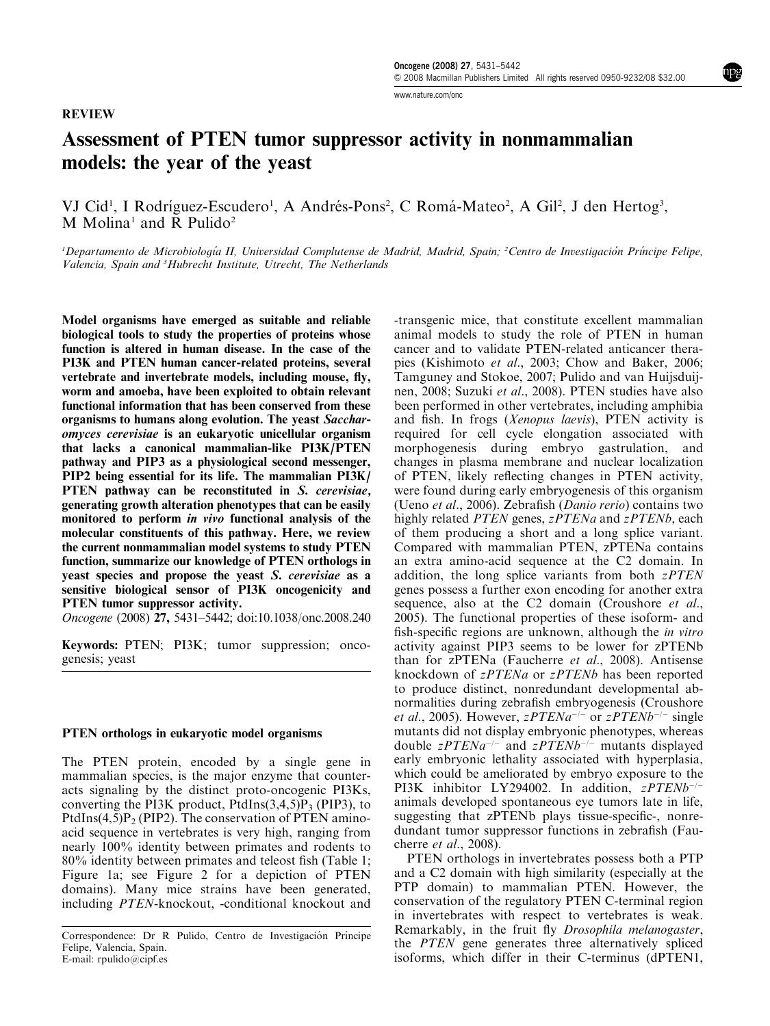REVIEW

[www.nature.com/onc](http://www.nature.com/onc)

# Assessment of PTEN tumor suppressor activity in nonmammalian models: the year of the yeast

VJ Cid<sup>1</sup>, I Rodríguez-Escudero<sup>1</sup>, A Andrés-Pons<sup>2</sup>, C Romá-Mateo<sup>2</sup>, A Gil<sup>2</sup>, J den Hertog<sup>3</sup>,  $M$  Molina<sup>1</sup> and R Pulido<sup>2</sup>

<sup>1</sup>Departamento de Microbiología II, Universidad Complutense de Madrid, Madrid, Spain; <sup>2</sup>Centro de Investigación Príncipe Felipe, Valencia, Spain and <sup>3</sup>Hubrecht Institute, Utrecht, The Netherlands

Model organisms have emerged as suitable and reliable biological tools to study the properties of proteins whose function is altered in human disease. In the case of the PI3K and PTEN human cancer-related proteins, several vertebrate and invertebrate models, including mouse, fly, worm and amoeba, have been exploited to obtain relevant functional information that has been conserved from these organisms to humans along evolution. The yeast Saccharomyces cerevisiae is an eukaryotic unicellular organism that lacks a canonical mammalian-like PI3K/PTEN pathway and PIP3 as a physiological second messenger, PIP2 being essential for its life. The mammalian PI3K/ PTEN pathway can be reconstituted in S. cerevisiae, generating growth alteration phenotypes that can be easily monitored to perform in vivo functional analysis of the molecular constituents of this pathway. Here, we review the current nonmammalian model systems to study PTEN function, summarize our knowledge of PTEN orthologs in yeast species and propose the yeast S. cerevisiae as a sensitive biological sensor of PI3K oncogenicity and PTEN tumor suppressor activity.

Oncogene (2008) 27, 5431–5442; doi[:10.1038/onc.2008.240](http://dx.doi.org/10.1038/onc.2008.240)

Keywords: PTEN; PI3K; tumor suppression; oncogenesis; yeast

#### PTEN orthologs in eukaryotic model organisms

The PTEN protein, encoded by a single gene in mammalian species, is the major enzyme that counteracts signaling by the distinct proto-oncogenic PI3Ks, converting the PI3K product, PtdIns $(3,4,5)P_3$  (PIP3), to PtdIns $(4,5)P_2$  (PIP2). The conservation of PTEN aminoacid sequence in vertebrates is very high, ranging from nearly 100% identity between primates and rodents to 80% identity between primates and teleost fish [\(Table 1](#page-1-0); [Figure 1a](#page-2-0); see [Figure 2](#page-3-0) for a depiction of PTEN domains). Many mice strains have been generated, including PTEN-knockout, -conditional knockout and

-transgenic mice, that constitute excellent mammalian animal models to study the role of PTEN in human cancer and to validate PTEN-related anticancer thera-pies [\(Kishimoto](#page-9-0) et al., 2003; [Chow and Baker, 2006](#page-9-0); [Tamguney and Stokoe, 2007](#page-11-0); [Pulido and van Huijsduij](#page-10-0)[nen, 2008](#page-10-0); [Suzuki](#page-11-0) et al., 2008). PTEN studies have also been performed in other vertebrates, including amphibia and fish. In frogs (Xenopus laevis), PTEN activity is required for cell cycle elongation associated with morphogenesis during embryo gastrulation, and changes in plasma membrane and nuclear localization of PTEN, likely reflecting changes in PTEN activity, were found during early embryogenesis of this organism (Ueno et al[., 2006\)](#page-11-0). Zebrafish (Danio rerio) contains two highly related *PTEN* genes, *zPTENa* and *zPTENb*, each of them producing a short and a long splice variant. Compared with mammalian PTEN, zPTENa contains an extra amino-acid sequence at the C2 domain. In addition, the long splice variants from both  $zPTEN$ genes possess a further exon encoding for another extra sequence, also at the C2 domain ([Croushore](#page-9-0) et al., [2005\)](#page-9-0). The functional properties of these isoform- and fish-specific regions are unknown, although the in vitro activity against PIP3 seems to be lower for zPTENb than for zPTENa [\(Faucherre](#page-9-0) et al., 2008). Antisense knockdown of *zPTENa* or *zPTENb* has been reported to produce distinct, nonredundant developmental abnormalities during zebrafish embryogenesis ([Croushore](#page-9-0) *et al.*, 2005). However,  $zPTENa^{-/-}$  or  $zPTEND^{-/-}$  single mutants did not display embryonic phenotypes, whereas double  $zPTENa^{-/-}$  and  $zPTEND^{-/-}$  mutants displayed early embryonic lethality associated with hyperplasia, which could be ameliorated by embryo exposure to the PI3K inhibitor LY294002. In addition,  $z$ PTENb<sup>-/-</sup> animals developed spontaneous eye tumors late in life, suggesting that zPTENb plays tissue-specific-, nonredundant tumor suppressor functions in zebrafish ([Fau](#page-9-0)cherre et al[., 2008\)](#page-9-0).

PTEN orthologs in invertebrates possess both a PTP and a C2 domain with high similarity (especially at the PTP domain) to mammalian PTEN. However, the conservation of the regulatory PTEN C-terminal region in invertebrates with respect to vertebrates is weak. Remarkably, in the fruit fly Drosophila melanogaster, the PTEN gene generates three alternatively spliced isoforms, which differ in their C-terminus (dPTEN1,

Correspondence: Dr R Pulido, Centro de Investigación Príncipe Felipe, Valencia, Spain. E-mail: [rpulido@cipf.es](mailto:rpulido@cipf.es)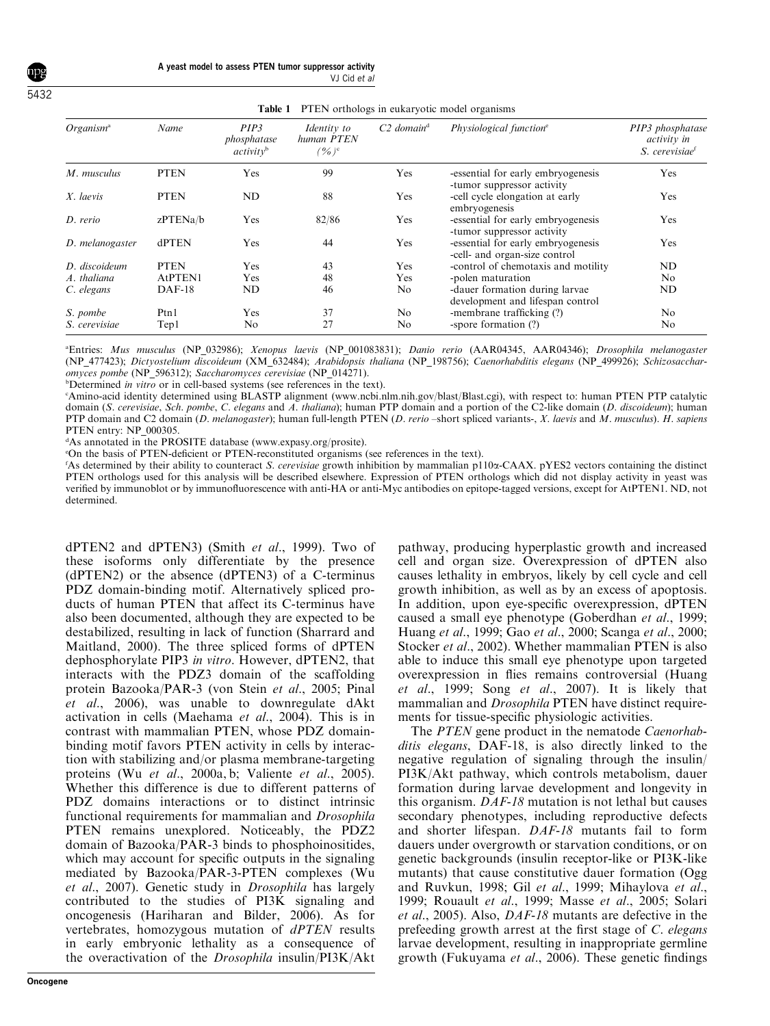<span id="page-1-0"></span>

| Organism <sup>a</sup> | Name         | PIP3<br>phosphatase<br>activity <sup>b</sup> | Identity to<br>human PTEN<br>$(%)^c$ | $C2$ domain <sup>d</sup> | Physiological function <sup>e</sup>                                 | PIP3 phosphatase<br>activity in<br>S. cerevisiaef |
|-----------------------|--------------|----------------------------------------------|--------------------------------------|--------------------------|---------------------------------------------------------------------|---------------------------------------------------|
| M. musculus           | <b>PTEN</b>  | Yes                                          | 99                                   | Yes                      | -essential for early embryogenesis<br>-tumor suppressor activity    | Yes                                               |
| X. laevis             | <b>PTEN</b>  | ND                                           | 88                                   | Yes                      | -cell cycle elongation at early<br>embryogenesis                    | Yes                                               |
| D. rerio              | zPTENa/b     | Yes                                          | 82/86                                | Yes                      | -essential for early embryogenesis<br>-tumor suppressor activity    | Yes                                               |
| D. melanogaster       | <b>dPTEN</b> | Yes                                          | 44                                   | Yes                      | -essential for early embryogenesis<br>-cell- and organ-size control | Yes                                               |
| D. discoideum         | <b>PTEN</b>  | Yes                                          | 43                                   | Yes                      | -control of chemotaxis and motility                                 | ND                                                |
| A. thaliana           | AtPTEN1      | Yes                                          | 48                                   | Yes                      | -polen maturation                                                   | N <sub>0</sub>                                    |
| C. elegans            | $DAF-18$     | ND                                           | 46                                   | No                       | -dauer formation during larvae<br>development and lifespan control  | ND                                                |
| S. pombe              | Ptn1         | Yes                                          | 37                                   | No                       | -membrane trafficking (?)                                           | N <sub>o</sub>                                    |
| S. cerevisiae         | Tep1         | No                                           | 27                                   | No                       | -spore formation (?)                                                | No                                                |

Table 1 PTEN orthologs in eukaryotic model organisms

a Entries: Mus musculus (NP\_032986); Xenopus laevis (NP\_001083831); Danio rerio (AAR04345, AAR04346); Drosophila melanogaster (NP\_477423); Dictyostelium discoideum (XM\_632484); Arabidopsis thaliana (NP\_198756); Caenorhabditis elegans (NP\_499926); Schizosaccharomyces pombe (NP\_596312); Saccharomyces cerevisiae (NP\_014271).

<sup>b</sup>Determined in vitro or in cell-based systems (see references in the text).

c Amino-acid identity determined using BLASTP alignment (www.ncbi.nlm.nih.gov/blast/Blast.cgi), with respect to: human PTEN PTP catalytic domain (S. cerevisiae, Sch. pombe, C. elegans and A. thaliana); human PTP domain and a portion of the C2-like domain (D. discoideum); human PTP domain and C2 domain (D. melanogaster); human full-length PTEN (D. rerio -short spliced variants-, X. laevis and M. musculus). H. sapiens PTEN entry: NP\_000305.

d As annotated in the PROSITE database (www.expasy.org/prosite).

e On the basis of PTEN-deficient or PTEN-reconstituted organisms (see references in the text).

As determined by their ability to counteract S. cerevisiae growth inhibition by mammalian p110 $\alpha$ -CAAX. pYES2 vectors containing the distinct PTEN orthologs used for this analysis will be described elsewhere. Expression of PTEN orthologs which did not display activity in yeast was verified by immunoblot or by immunofluorescence with anti-HA or anti-Myc antibodies on epitope-tagged versions, except for AtPTEN1. ND, not determined.

dPTEN2 and dPTEN3) (Smith et al[., 1999\)](#page-10-0). Two of these isoforms only differentiate by the presence (dPTEN2) or the absence (dPTEN3) of a C-terminus PDZ domain-binding motif. Alternatively spliced products of human PTEN that affect its C-terminus have also been documented, although they are expected to be destabilized, resulting in lack of function ([Sharrard and](#page-10-0) [Maitland, 2000](#page-10-0)). The three spliced forms of dPTEN dephosphorylate PIP3 in vitro. However, dPTEN2, that interacts with the PDZ3 domain of the scaffolding protein Bazooka/PAR-3 ([von Stein](#page-11-0) et al., 2005; [Pinal](#page-10-0) et al[., 2006](#page-10-0)), was unable to downregulate dAkt activation in cells [\(Maehama](#page-10-0) et al., 2004). This is in contrast with mammalian PTEN, whose PDZ domainbinding motif favors PTEN activity in cells by interaction with stabilizing and/or plasma membrane-targeting proteins (Wu et al[., 2000a, b; Valiente](#page-11-0) et al., 2005). Whether this difference is due to different patterns of PDZ domains interactions or to distinct intrinsic functional requirements for mammalian and Drosophila PTEN remains unexplored. Noticeably, the PDZ2 domain of Bazooka/PAR-3 binds to phosphoinositides, which may account for specific outputs in the signaling mediated by Bazooka/PAR-3-PTEN complexes ([Wu](#page-11-0) et al[., 2007](#page-11-0)). Genetic study in Drosophila has largely contributed to the studies of PI3K signaling and oncogenesis [\(Hariharan and Bilder, 2006](#page-9-0)). As for vertebrates, homozygous mutation of dPTEN results in early embryonic lethality as a consequence of the overactivation of the Drosophila insulin/PI3K/Akt pathway, producing hyperplastic growth and increased cell and organ size. Overexpression of dPTEN also causes lethality in embryos, likely by cell cycle and cell growth inhibition, as well as by an excess of apoptosis. In addition, upon eye-specific overexpression, dPTEN caused a small eye phenotype ([Goberdhan](#page-9-0) et al., 1999; [Huang](#page-9-0) et al., 1999; Gao et al[., 2000](#page-9-0); [Scanga](#page-10-0) et al., 2000; [Stocker](#page-10-0) *et al.*, 2002). Whether mammalian PTEN is also able to induce this small eye phenotype upon targeted overexpression in flies remains controversial ([Huang](#page-9-0) et al[., 1999](#page-9-0); Song et al[., 2007\)](#page-10-0). It is likely that mammalian and Drosophila PTEN have distinct requirements for tissue-specific physiologic activities.

The *PTEN* gene product in the nematode *Caenorhab*ditis elegans, DAF-18, is also directly linked to the negative regulation of signaling through the insulin/ PI3K/Akt pathway, which controls metabolism, dauer formation during larvae development and longevity in this organism. DAF-18 mutation is not lethal but causes secondary phenotypes, including reproductive defects and shorter lifespan. DAF-18 mutants fail to form dauers under overgrowth or starvation conditions, or on genetic backgrounds (insulin receptor-like or PI3K-like mutants) that cause constitutive dauer formation [\(Ogg](#page-10-0) [and Ruvkun, 1998;](#page-10-0) Gil et al[., 1999](#page-9-0); [Mihaylova](#page-10-0) et al., [1999; Rouault](#page-10-0) et al., 1999; Masse et al[., 2005](#page-10-0); [Solari](#page-10-0) et al[., 2005](#page-10-0)). Also, DAF-18 mutants are defective in the prefeeding growth arrest at the first stage of C. elegans larvae development, resulting in inappropriate germline growth ([Fukuyama](#page-9-0) et al., 2006). These genetic findings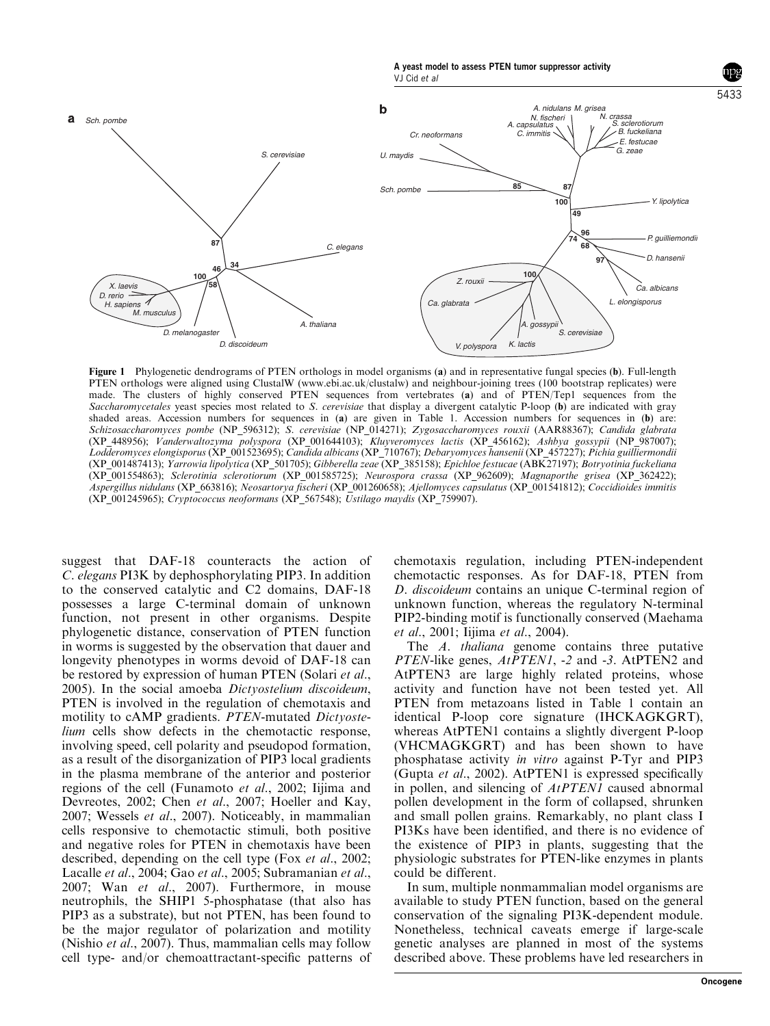A yeast model to assess PTEN tumor suppressor activity VJ Cid et al

<span id="page-2-0"></span>

Figure 1 Phylogenetic dendrograms of PTEN orthologs in model organisms (a) and in representative fungal species (b). Full-length PTEN orthologs were aligned using ClustalW [\(www.ebi.ac.uk/clustalw](www.ebi.ac.uk/clustalw)) and neighbour-joining trees (100 bootstrap replicates) were made. The clusters of highly conserved PTEN sequences from vertebrates (a) and of PTEN/Tep1 sequences from the Saccharomycetales yeast species most related to S. cerevisiae that display a divergent catalytic P-loop (b) are indicated with gray shaded areas. Accession numbers for sequences in (a) are given in [Table 1.](#page-1-0) Accession numbers for sequences in (b) are: Schizosaccharomyces pombe (NP\_596312); S. cerevisiae (NP\_014271); Zygosaccharomyces rouxii (AAR88367); Candida glabrata (XP\_448956); Vanderwaltozyma polyspora (XP\_001644103); Kluyveromyces lactis (XP\_456162); Ashbya gossypii (NP\_987007); Lodderomyces elongisporus (XP\_001523695); Candida albicans (XP\_710767); Debaryomyces hansenii (XP\_457227); Pichia guilliermondii (XP\_001487413); Yarrowia lipolytica (XP\_501705); Gibberella zeae (XP\_385158); Epichloe festucae (ABK27197); Botryotinia fuckeliana (XP\_001554863); Sclerotinia sclerotiorum (XP\_001585725); Neurospora crassa (XP\_962609); Magnaporthe grisea (XP\_362422); Aspergillus nidulans (XP\_663816); Neosartorya fischeri (XP\_001260658); Ajellomyces capsulatus (XP\_001541812); Coccidioides immitis (XP\_001245965); Cryptococcus neoformans (XP\_567548); Ustilago maydis (XP\_759907).

suggest that DAF-18 counteracts the action of C. elegans PI3K by dephosphorylating PIP3. In addition to the conserved catalytic and C2 domains, DAF-18 possesses a large C-terminal domain of unknown function, not present in other organisms. Despite phylogenetic distance, conservation of PTEN function in worms is suggested by the observation that dauer and longevity phenotypes in worms devoid of DAF-18 can be restored by expression of human PTEN ([Solari](#page-10-0) et al., [2005\)](#page-10-0). In the social amoeba Dictyostelium discoideum, PTEN is involved in the regulation of chemotaxis and motility to cAMP gradients. PTEN-mutated Dictyostelium cells show defects in the chemotactic response, involving speed, cell polarity and pseudopod formation, as a result of the disorganization of PIP3 local gradients in the plasma membrane of the anterior and posterior regions of the cell [\(Funamoto](#page-9-0) et al., 2002; [Iijima and](#page-9-0) [Devreotes, 2002;](#page-9-0) Chen et al[., 2007; Hoeller and Kay,](#page-9-0) [2007;](#page-9-0) [Wessels](#page-11-0) et al., 2007). Noticeably, in mammalian cells responsive to chemotactic stimuli, both positive and negative roles for PTEN in chemotaxis have been described, depending on the cell type (Fox et al[., 2002](#page-9-0); [Lacalle](#page-10-0) et al., 2004; Gao et al[., 2005;](#page-9-0) [Subramanian](#page-10-0) et al., [2007;](#page-10-0) Wan et al[., 2007\)](#page-11-0). Furthermore, in mouse neutrophils, the SHIP1 5-phosphatase (that also has PIP3 as a substrate), but not PTEN, has been found to be the major regulator of polarization and motility [\(Nishio](#page-10-0) et al., 2007). Thus, mammalian cells may follow cell type- and/or chemoattractant-specific patterns of

chemotaxis regulation, including PTEN-independent chemotactic responses. As for DAF-18, PTEN from D. discoideum contains an unique C-terminal region of unknown function, whereas the regulatory N-terminal PIP2-binding motif is functionally conserved ([Maehama](#page-10-0) et al[., 2001](#page-10-0); Iijima et al[., 2004](#page-9-0)).

The A. *thaliana* genome contains three putative PTEN-like genes,  $AtPTEN1$ , -2 and -3. AtPTEN2 and AtPTEN3 are large highly related proteins, whose activity and function have not been tested yet. All PTEN from metazoans listed in [Table 1](#page-1-0) contain an identical P-loop core signature (IHCKAGKGRT), whereas AtPTEN1 contains a slightly divergent P-loop (VHCMAGKGRT) and has been shown to have phosphatase activity in vitro against P-Tyr and PIP3 (Gupta et al[., 2002](#page-9-0)). AtPTEN1 is expressed specifically in pollen, and silencing of AtPTEN1 caused abnormal pollen development in the form of collapsed, shrunken and small pollen grains. Remarkably, no plant class I PI3Ks have been identified, and there is no evidence of the existence of PIP3 in plants, suggesting that the physiologic substrates for PTEN-like enzymes in plants could be different.

In sum, multiple nonmammalian model organisms are available to study PTEN function, based on the general conservation of the signaling PI3K-dependent module. Nonetheless, technical caveats emerge if large-scale genetic analyses are planned in most of the systems described above. These problems have led researchers in 5433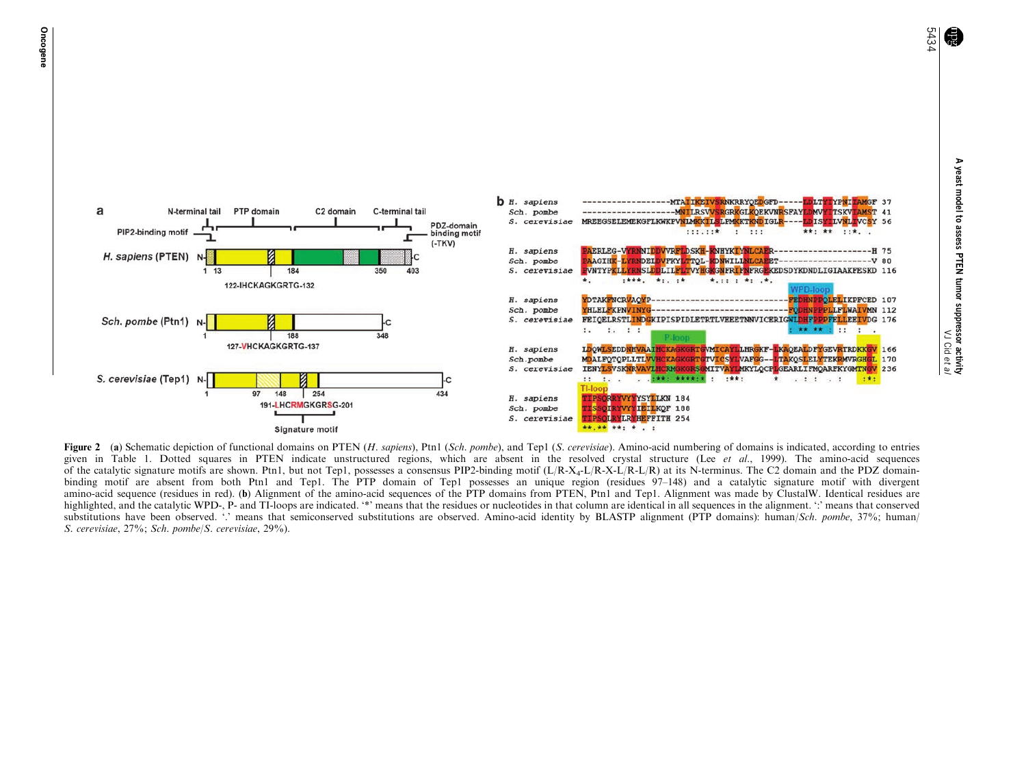$\blacktriangleright$ 

5434Œ

<span id="page-3-0"></span>

Figure 2 (a) Schematic depiction of functional domains on PTEN (H. sapiens), Ptn1 (Sch. pombe), and Tep1 (S. cerevisiae). Amino-acid numbering of domains is indicated, according to entries given in [Table](#page-1-0) 1. Dotted squares in PTEN indicate unstructured regions, which are absent in the resolved crystal structure (Lee et al., [1999](#page-10-0)). The amino-acid sequences of the catalytic signature motifs are shown. Ptn1, but not Tep1, possesses a consensus PIP2-binding motif  $(L/R-X_4-L/R-X_4-L/R-X_1)$  at its N-terminus. The C2 domain and the PDZ domainbinding motif are absent from both Ptn1 and Tep1. The PTP domain of Tep1 possesses an unique region (residues 97–148) and a catalytic signature motif with divergent amino-acid sequence (residues in red). (b) Alignment of the amino-acid sequences of the PTP domains from PTEN, Ptn1 and Tep1. Alignment was made by ClustalW. Identical residues are highlighted, and the catalytic WPD-, P- and TI-loops are indicated. '\*' means that the residues or nucleotides in that column are identical in all sequences in the alignment. ':' means that conserved substitutions have been observed. '.' means that semiconserved substitutions are observed. Amino-acid identity by BLASTP alignment (PTP domains): human/Sch. pombe, 37%; human/ S. cerevisiae, 27%; Sch. pombe/S. cerevisiae, 29%).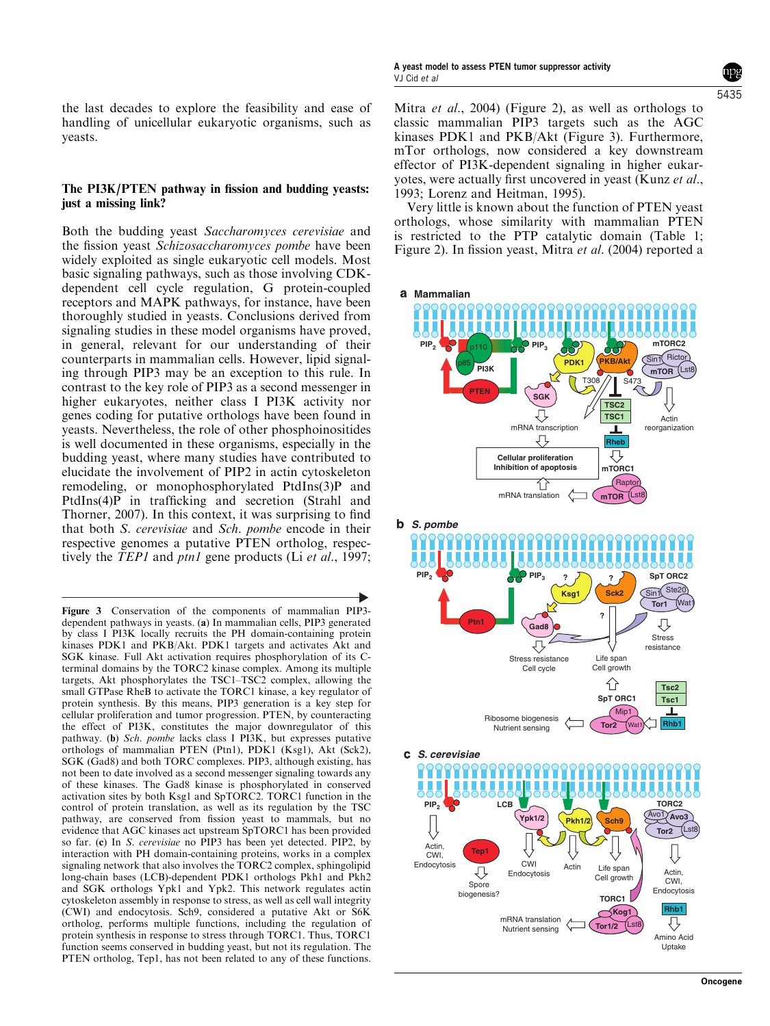<span id="page-4-0"></span>the last decades to explore the feasibility and ease of handling of unicellular eukaryotic organisms, such as yeasts.

## The PI3K/PTEN pathway in fission and budding yeasts: just a missing link?

Both the budding yeast Saccharomyces cerevisiae and the fission yeast Schizosaccharomyces pombe have been widely exploited as single eukaryotic cell models. Most basic signaling pathways, such as those involving CDKdependent cell cycle regulation, G protein-coupled receptors and MAPK pathways, for instance, have been thoroughly studied in yeasts. Conclusions derived from signaling studies in these model organisms have proved, in general, relevant for our understanding of their counterparts in mammalian cells. However, lipid signaling through PIP3 may be an exception to this rule. In contrast to the key role of PIP3 as a second messenger in higher eukaryotes, neither class I PI3K activity nor genes coding for putative orthologs have been found in yeasts. Nevertheless, the role of other phosphoinositides is well documented in these organisms, especially in the budding yeast, where many studies have contributed to elucidate the involvement of PIP2 in actin cytoskeleton remodeling, or monophosphorylated PtdIns(3)P and PtdIns(4)P in trafficking and secretion ([Strahl and](#page-10-0) [Thorner, 2007\)](#page-10-0). In this context, it was surprising to find that both S. cerevisiae and Sch. pombe encode in their respective genomes a putative PTEN ortholog, respectively the *TEP1* and *ptn1* gene products (Li *et al.*, 1997;

Figure 3 Conservation of the components of mammalian PIP3 dependent pathways in yeasts. (a) In mammalian cells, PIP3 generated by class I PI3K locally recruits the PH domain-containing protein kinases PDK1 and PKB/Akt. PDK1 targets and activates Akt and SGK kinase. Full Akt activation requires phosphorylation of its Cterminal domains by the TORC2 kinase complex. Among its multiple targets, Akt phosphorylates the TSC1–TSC2 complex, allowing the small GTPase RheB to activate the TORC1 kinase, a key regulator of protein synthesis. By this means, PIP3 generation is a key step for cellular proliferation and tumor progression. PTEN, by counteracting the effect of PI3K, constitutes the major downregulator of this pathway. (b) Sch. pombe lacks class I PI3K, but expresses putative orthologs of mammalian PTEN (Ptn1), PDK1 (Ksg1), Akt (Sck2), SGK (Gad8) and both TORC complexes. PIP3, although existing, has not been to date involved as a second messenger signaling towards any of these kinases. The Gad8 kinase is phosphorylated in conserved activation sites by both Ksg1 and SpTORC2. TORC1 function in the control of protein translation, as well as its regulation by the TSC pathway, are conserved from fission yeast to mammals, but no evidence that AGC kinases act upstream SpTORC1 has been provided so far. (c) In S. cerevisiae no PIP3 has been yet detected. PIP2, by interaction with PH domain-containing proteins, works in a complex signaling network that also involves the TORC2 complex, sphingolipid long-chain bases (LCB)-dependent PDK1 orthologs Pkh1 and Pkh2 and SGK orthologs Ypk1 and Ypk2. This network regulates actin cytoskeleton assembly in response to stress, as well as cell wall integrity (CWI) and endocytosis. Sch9, considered a putative Akt or S6K ortholog, performs multiple functions, including the regulation of protein synthesis in response to stress through TORC1. Thus, TORC1 function seems conserved in budding yeast, but not its regulation. The PTEN ortholog, Tep1, has not been related to any of these functions.

Mitra et al[., 2004](#page-10-0)) [\(Figure 2\)](#page-3-0), as well as orthologs to classic mammalian PIP3 targets such as the AGC kinases PDK1 and PKB/Akt (Figure 3). Furthermore, mTor orthologs, now considered a key downstream effector of PI3K-dependent signaling in higher eukaryotes, were actually first uncovered in yeast [\(Kunz](#page-9-0) et al., [1993;](#page-9-0) [Lorenz and Heitman, 1995](#page-10-0)).

Very little is known about the function of PTEN yeast orthologs, whose similarity with mammalian PTEN is restricted to the PTP catalytic domain ([Table 1](#page-1-0); [Figure 2\)](#page-3-0). In fission yeast, Mitra et al[. \(2004\)](#page-10-0) reported a

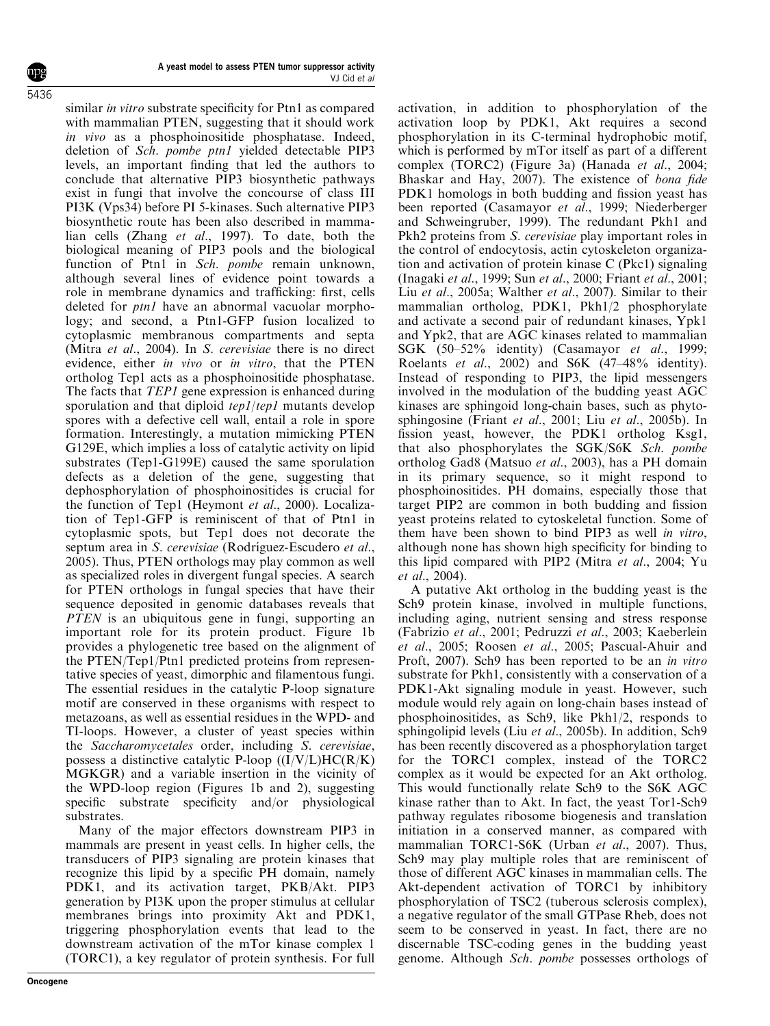similar in vitro substrate specificity for Ptn1 as compared with mammalian PTEN, suggesting that it should work in vivo as a phosphoinositide phosphatase. Indeed, deletion of Sch. pombe ptn1 yielded detectable PIP3 levels, an important finding that led the authors to conclude that alternative PIP3 biosynthetic pathways exist in fungi that involve the concourse of class III PI3K (Vps34) before PI 5-kinases. Such alternative PIP3 biosynthetic route has been also described in mammalian cells (Zhang *et al.*, 1997). To date, both the biological meaning of PIP3 pools and the biological function of Ptn1 in Sch. pombe remain unknown, although several lines of evidence point towards a role in membrane dynamics and trafficking: first, cells deleted for *ptn1* have an abnormal vacuolar morphology; and second, a Ptn1-GFP fusion localized to cytoplasmic membranous compartments and septa (Mitra et al[., 2004\)](#page-10-0). In S. cerevisiae there is no direct evidence, either in vivo or in vitro, that the PTEN ortholog Tep1 acts as a phosphoinositide phosphatase. The facts that *TEP1* gene expression is enhanced during sporulation and that diploid *tep1/tep1* mutants develop spores with a defective cell wall, entail a role in spore formation. Interestingly, a mutation mimicking PTEN G129E, which implies a loss of catalytic activity on lipid substrates (Tep1-G199E) caused the same sporulation defects as a deletion of the gene, suggesting that dephosphorylation of phosphoinositides is crucial for the function of Tep1 [\(Heymont](#page-9-0) et al., 2000). Localization of Tep1-GFP is reminiscent of that of Ptn1 in cytoplasmic spots, but Tep1 does not decorate the septum area in S. cerevisiae (Rodríguez-Escudero et al., [2005\)](#page-10-0). Thus, PTEN orthologs may play common as well as specialized roles in divergent fungal species. A search for PTEN orthologs in fungal species that have their sequence deposited in genomic databases reveals that PTEN is an ubiquitous gene in fungi, supporting an important role for its protein product. [Figure 1b](#page-2-0) provides a phylogenetic tree based on the alignment of the PTEN/Tep1/Ptn1 predicted proteins from representative species of yeast, dimorphic and filamentous fungi. The essential residues in the catalytic P-loop signature motif are conserved in these organisms with respect to metazoans, as well as essential residues in the WPD- and TI-loops. However, a cluster of yeast species within the Saccharomycetales order, including S. cerevisiae, possess a distinctive catalytic P-loop  $((I/V/L)HC(R/K)$ MGKGR) and a variable insertion in the vicinity of the WPD-loop region [\(Figures 1b and 2\)](#page-2-0), suggesting specific substrate specificity and/or physiological substrates.

Many of the major effectors downstream PIP3 in mammals are present in yeast cells. In higher cells, the transducers of PIP3 signaling are protein kinases that recognize this lipid by a specific PH domain, namely PDK1, and its activation target, PKB/Akt. PIP3 generation by PI3K upon the proper stimulus at cellular membranes brings into proximity Akt and PDK1, triggering phosphorylation events that lead to the downstream activation of the mTor kinase complex 1 (TORC1), a key regulator of protein synthesis. For full activation, in addition to phosphorylation of the activation loop by PDK1, Akt requires a second phosphorylation in its C-terminal hydrophobic motif, which is performed by mTor itself as part of a different complex (TORC2) [\(Figure 3a\)](#page-4-0) [\(Hanada](#page-9-0) et al., 2004; [Bhaskar and Hay, 2007](#page-9-0)). The existence of bona fide PDK1 homologs in both budding and fission yeast has been reported ([Casamayor](#page-9-0) et al., 1999; [Niederberger](#page-10-0) [and Schweingruber, 1999\)](#page-10-0). The redundant Pkh1 and Pkh<sub>2</sub> proteins from *S. cerevisiae* play important roles in the control of endocytosis, actin cytoskeleton organization and activation of protein kinase C (Pkc1) signaling [\(Inagaki](#page-9-0) et al., 1999; Sun et al[., 2000](#page-10-0); Friant et al[., 2001](#page-9-0); Liu et al[., 2005a;](#page-10-0) [Walther](#page-11-0) et al., 2007). Similar to their mammalian ortholog, PDK1, Pkh1/2 phosphorylate and activate a second pair of redundant kinases, Ypk1 and Ypk2, that are AGC kinases related to mammalian SGK (50–52% identity) [\(Casamayor](#page-9-0) et al., 1999; [Roelants](#page-10-0) et al., 2002) and S6K (47–48% identity). Instead of responding to PIP3, the lipid messengers involved in the modulation of the budding yeast AGC kinases are sphingoid long-chain bases, such as phytosphingosine (Friant et al[., 2001](#page-9-0); Liu et al[., 2005b](#page-10-0)). In fission yeast, however, the PDK1 ortholog Ksg1, that also phosphorylates the SGK/S6K Sch. pombe ortholog Gad8 [\(Matsuo](#page-10-0) et al., 2003), has a PH domain in its primary sequence, so it might respond to phosphoinositides. PH domains, especially those that target PIP2 are common in both budding and fission yeast proteins related to cytoskeletal function. Some of them have been shown to bind PIP3 as well in vitro, although none has shown high specificity for binding to this lipid compared with PIP2 (Mitra et al[., 2004;](#page-10-0) [Yu](#page-11-0) et al[., 2004](#page-11-0)).

A putative Akt ortholog in the budding yeast is the Sch9 protein kinase, involved in multiple functions, including aging, nutrient sensing and stress response [\(Fabrizio](#page-9-0) et al., 2001; [Pedruzzi](#page-10-0) et al., 2003; [Kaeberlein](#page-9-0) et al[., 2005](#page-9-0); [Roosen](#page-10-0) et al., 2005; [Pascual-Ahuir and](#page-10-0) [Proft, 2007\)](#page-10-0). Sch9 has been reported to be an in vitro substrate for Pkh1, consistently with a conservation of a PDK1-Akt signaling module in yeast. However, such module would rely again on long-chain bases instead of phosphoinositides, as Sch9, like Pkh1/2, responds to sphingolipid levels (Liu *et al.*, 2005b). In addition, Sch9 has been recently discovered as a phosphorylation target for the TORC1 complex, instead of the TORC2 complex as it would be expected for an Akt ortholog. This would functionally relate Sch9 to the S6K AGC kinase rather than to Akt. In fact, the yeast Tor1-Sch9 pathway regulates ribosome biogenesis and translation initiation in a conserved manner, as compared with mammalian TORC1-S6K (Urban et al[., 2007\)](#page-11-0). Thus, Sch9 may play multiple roles that are reminiscent of those of different AGC kinases in mammalian cells. The Akt-dependent activation of TORC1 by inhibitory phosphorylation of TSC2 (tuberous sclerosis complex), a negative regulator of the small GTPase Rheb, does not seem to be conserved in yeast. In fact, there are no discernable TSC-coding genes in the budding yeast genome. Although Sch. pombe possesses orthologs of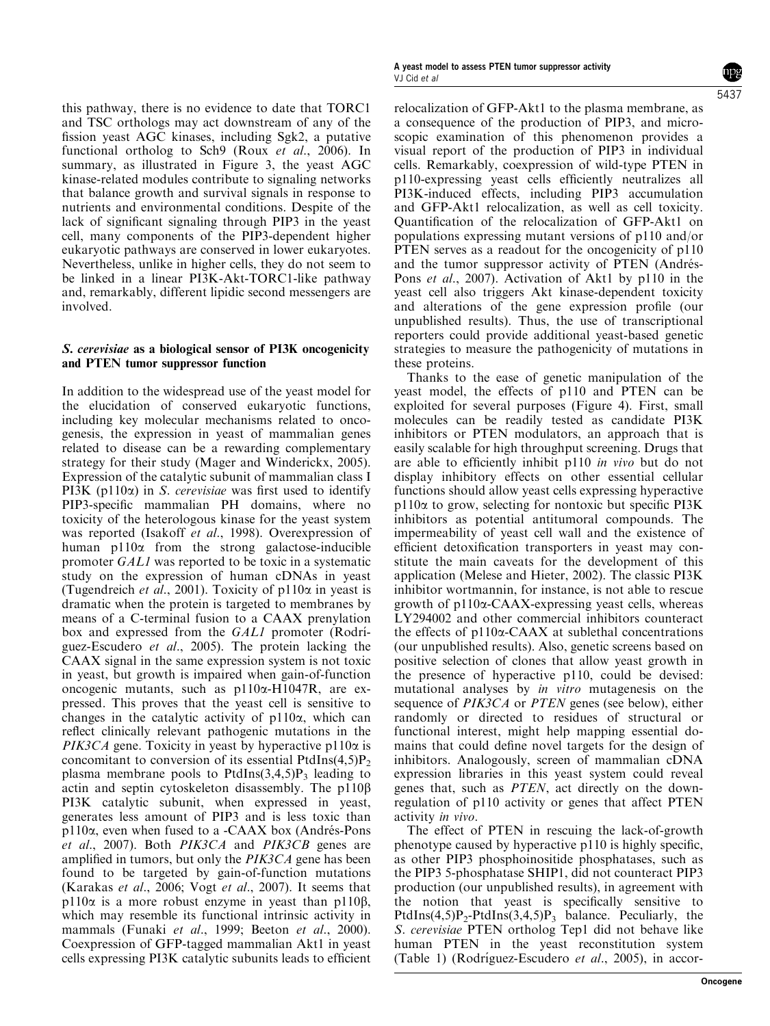this pathway, there is no evidence to date that TORC1 and TSC orthologs may act downstream of any of the fission yeast AGC kinases, including Sgk2, a putative functional ortholog to Sch9 (Roux et al[., 2006\)](#page-10-0). In summary, as illustrated in [Figure 3](#page-4-0), the yeast AGC kinase-related modules contribute to signaling networks that balance growth and survival signals in response to nutrients and environmental conditions. Despite of the lack of significant signaling through PIP3 in the yeast cell, many components of the PIP3-dependent higher eukaryotic pathways are conserved in lower eukaryotes. Nevertheless, unlike in higher cells, they do not seem to be linked in a linear PI3K-Akt-TORC1-like pathway and, remarkably, different lipidic second messengers are involved.

### S. cerevisiae as a biological sensor of PI3K oncogenicity and PTEN tumor suppressor function

In addition to the widespread use of the yeast model for the elucidation of conserved eukaryotic functions, including key molecular mechanisms related to oncogenesis, the expression in yeast of mammalian genes related to disease can be a rewarding complementary strategy for their study [\(Mager and Winderickx, 2005\)](#page-10-0). Expression of the catalytic subunit of mammalian class I PI3K (p110 $\alpha$ ) in S. cerevisiae was first used to identify PIP3-specific mammalian PH domains, where no toxicity of the heterologous kinase for the yeast system was reported ([Isakoff](#page-9-0) *et al.*, 1998). Overexpression of human  $p110\alpha$  from the strong galactose-inducible promoter GAL1 was reported to be toxic in a systematic study on the expression of human cDNAs in yeast [\(Tugendreich](#page-11-0) et al., 2001). Toxicity of  $p110\alpha$  in yeast is dramatic when the protein is targeted to membranes by means of a C-terminal fusion to a CAAX prenylation box and expressed from the GAL1 promoter (Rodri[guez-Escudero](#page-10-0) et al., 2005). The protein lacking the CAAX signal in the same expression system is not toxic in yeast, but growth is impaired when gain-of-function oncogenic mutants, such as p110a-H1047R, are expressed. This proves that the yeast cell is sensitive to changes in the catalytic activity of  $p110\alpha$ , which can reflect clinically relevant pathogenic mutations in the *PIK3CA* gene. Toxicity in yeast by hyperactive  $p110\alpha$  is concomitant to conversion of its essential PtdIns $(4,5)P_2$ plasma membrane pools to PtdIns $(3,4,5)P_3$  leading to actin and septin cytoskeleton disassembly. The  $p110\beta$ PI3K catalytic subunit, when expressed in yeast, generates less amount of PIP3 and is less toxic than  $p110\alpha$ , even when fused to a -CAAX box (Andrés-Pons et al[., 2007\)](#page-9-0). Both *PIK3CA* and *PIK3CB* genes are amplified in tumors, but only the PIK3CA gene has been found to be targeted by gain-of-function mutations [\(Karakas](#page-9-0) et al., 2006; Vogt et al[., 2007](#page-11-0)). It seems that  $p110\alpha$  is a more robust enzyme in yeast than  $p110\beta$ , which may resemble its functional intrinsic activity in mammals (Funaki et al[., 1999;](#page-9-0) Beeton et al[., 2000\)](#page-9-0). Coexpression of GFP-tagged mammalian Akt1 in yeast cells expressing PI3K catalytic subunits leads to efficient

5437

relocalization of GFP-Akt1 to the plasma membrane, as a consequence of the production of PIP3, and microscopic examination of this phenomenon provides a visual report of the production of PIP3 in individual cells. Remarkably, coexpression of wild-type PTEN in p110-expressing yeast cells efficiently neutralizes all PI3K-induced effects, including PIP3 accumulation and GFP-Akt1 relocalization, as well as cell toxicity. Quantification of the relocalization of GFP-Akt1 on populations expressing mutant versions of p110 and/or PTEN serves as a readout for the oncogenicity of p110 and the tumor suppressor activity of PTEN (Andrés-Pons et al[., 2007\)](#page-9-0). Activation of Akt1 by p110 in the yeast cell also triggers Akt kinase-dependent toxicity and alterations of the gene expression profile (our unpublished results). Thus, the use of transcriptional reporters could provide additional yeast-based genetic strategies to measure the pathogenicity of mutations in these proteins.

Thanks to the ease of genetic manipulation of the yeast model, the effects of p110 and PTEN can be exploited for several purposes [\(Figure 4](#page-7-0)). First, small molecules can be readily tested as candidate PI3K inhibitors or PTEN modulators, an approach that is easily scalable for high throughput screening. Drugs that are able to efficiently inhibit p110 in vivo but do not display inhibitory effects on other essential cellular functions should allow yeast cells expressing hyperactive  $p110\alpha$  to grow, selecting for nontoxic but specific PI3K inhibitors as potential antitumoral compounds. The impermeability of yeast cell wall and the existence of efficient detoxification transporters in yeast may constitute the main caveats for the development of this application ([Melese and Hieter, 2002\)](#page-10-0). The classic PI3K inhibitor wortmannin, for instance, is not able to rescue growth of  $p110\alpha$ -CAAX-expressing yeast cells, whereas LY294002 and other commercial inhibitors counteract the effects of  $p110\alpha$ -CAAX at sublethal concentrations (our unpublished results). Also, genetic screens based on positive selection of clones that allow yeast growth in the presence of hyperactive p110, could be devised: mutational analyses by in vitro mutagenesis on the sequence of *PIK3CA* or *PTEN* genes (see below), either randomly or directed to residues of structural or functional interest, might help mapping essential domains that could define novel targets for the design of inhibitors. Analogously, screen of mammalian cDNA expression libraries in this yeast system could reveal genes that, such as PTEN, act directly on the downregulation of p110 activity or genes that affect PTEN activity in vivo.

The effect of PTEN in rescuing the lack-of-growth phenotype caused by hyperactive p110 is highly specific, as other PIP3 phosphoinositide phosphatases, such as the PIP3 5-phosphatase SHIP1, did not counteract PIP3 production (our unpublished results), in agreement with the notion that yeast is specifically sensitive to PtdIns $(4,5)P_2$ -PtdIns $(3,4,5)P_3$  balance. Peculiarly, the S. cerevisiae PTEN ortholog Tep1 did not behave like human PTEN in the yeast reconstitution system [\(Table 1\)](#page-1-0) (Rodríguez-Escudero et al., 2005), in accor-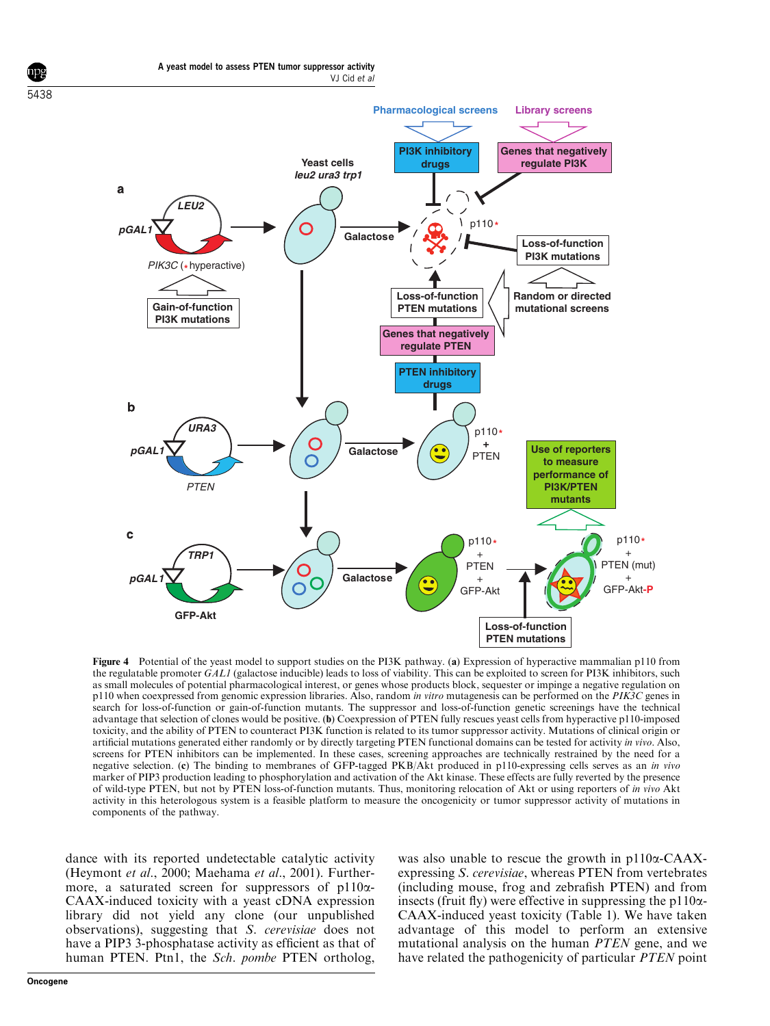<span id="page-7-0"></span>

Figure 4 Potential of the yeast model to support studies on the PI3K pathway. (a) Expression of hyperactive mammalian p110 from the regulatable promoter  $GAL1$  (galactose inducible) leads to loss of viability. This can be exploited to screen for PI3K inhibitors, such as small molecules of potential pharmacological interest, or genes whose products block, sequester or impinge a negative regulation on p110 when coexpressed from genomic expression libraries. Also, random in vitro mutagenesis can be performed on the PIK3C genes in search for loss-of-function or gain-of-function mutants. The suppressor and loss-of-function genetic screenings have the technical advantage that selection of clones would be positive. (b) Coexpression of PTEN fully rescues yeast cells from hyperactive p110-imposed toxicity, and the ability of PTEN to counteract PI3K function is related to its tumor suppressor activity. Mutations of clinical origin or artificial mutations generated either randomly or by directly targeting PTEN functional domains can be tested for activity in vivo. Also, screens for PTEN inhibitors can be implemented. In these cases, screening approaches are technically restrained by the need for a negative selection. (c) The binding to membranes of GFP-tagged PKB/Akt produced in p110-expressing cells serves as an in vivo marker of PIP3 production leading to phosphorylation and activation of the Akt kinase. These effects are fully reverted by the presence of wild-type PTEN, but not by PTEN loss-of-function mutants. Thus, monitoring relocation of Akt or using reporters of in vivo Akt activity in this heterologous system is a feasible platform to measure the oncogenicity or tumor suppressor activity of mutations in components of the pathway.

dance with its reported undetectable catalytic activity [\(Heymont](#page-9-0) et al., 2000; [Maehama](#page-10-0) et al., 2001). Furthermore, a saturated screen for suppressors of  $p110\alpha$ -CAAX-induced toxicity with a yeast cDNA expression library did not yield any clone (our unpublished observations), suggesting that S. cerevisiae does not have a PIP3 3-phosphatase activity as efficient as that of human PTEN. Ptn1, the Sch. pombe PTEN ortholog,

was also unable to rescue the growth in p110 $\alpha$ -CAAXexpressing S. cerevisiae, whereas PTEN from vertebrates (including mouse, frog and zebrafish PTEN) and from insects (fruit fly) were effective in suppressing the  $p110\alpha$ -CAAX-induced yeast toxicity [\(Table 1\)](#page-1-0). We have taken advantage of this model to perform an extensive mutational analysis on the human PTEN gene, and we have related the pathogenicity of particular PTEN point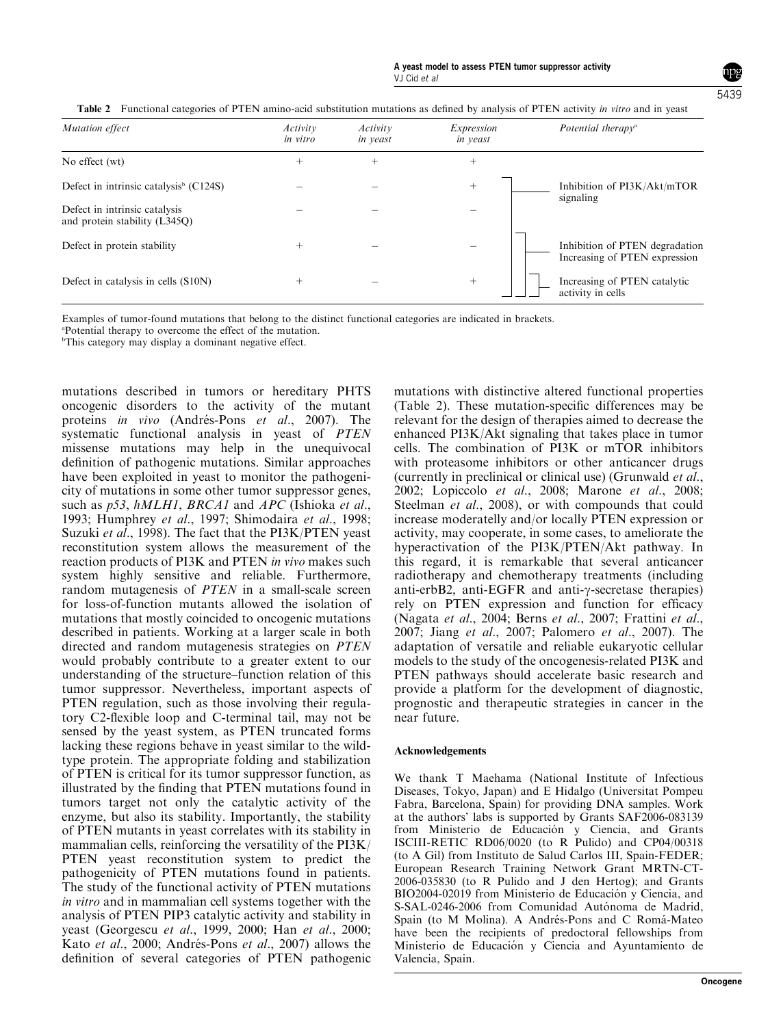#### A yeast model to assess PTEN tumor suppressor activity VJ Cid et al

5439

| Mutation effect                                                | Activity<br>in vitro | Activity<br>in yeast | Expression<br>in yeast | Potential therap $v^a$                                          |
|----------------------------------------------------------------|----------------------|----------------------|------------------------|-----------------------------------------------------------------|
| No effect (wt)                                                 | $^+$                 | $^{+}$               | $^+$                   |                                                                 |
| Defect in intrinsic catalysis <sup>b</sup> (C124S)             |                      |                      | $^{+}$                 | Inhibition of PI3K/Akt/mTOR<br>signaling                        |
| Defect in intrinsic catalysis<br>and protein stability (L345Q) |                      |                      |                        |                                                                 |
| Defect in protein stability                                    | $^+$                 |                      |                        | Inhibition of PTEN degradation<br>Increasing of PTEN expression |
| Defect in catalysis in cells (S10N)                            | $^+$                 |                      | $^{+}$                 | Increasing of PTEN catalytic<br>activity in cells               |

Table 2 Functional categories of PTEN amino-acid substitution mutations as defined by analysis of PTEN activity in vitro and in yeast

Examples of tumor-found mutations that belong to the distinct functional categories are indicated in brackets.

a Potential therapy to overcome the effect of the mutation.

b This category may display a dominant negative effect.

mutations described in tumors or hereditary PHTS oncogenic disorders to the activity of the mutant proteins in vivo (Andrés-Pons et al., 2007). The systematic functional analysis in yeast of PTEN missense mutations may help in the unequivocal definition of pathogenic mutations. Similar approaches have been exploited in yeast to monitor the pathogenicity of mutations in some other tumor suppressor genes, such as p53, hMLH1, BRCA1 and APC ([Ishioka](#page-9-0) et al., [1993; Humphrey](#page-9-0) et al., 1997; [Shimodaira](#page-10-0) et al., 1998; [Suzuki](#page-11-0) et al., 1998). The fact that the PI3K/PTEN veast reconstitution system allows the measurement of the reaction products of PI3K and PTEN in vivo makes such system highly sensitive and reliable. Furthermore, random mutagenesis of PTEN in a small-scale screen for loss-of-function mutants allowed the isolation of mutations that mostly coincided to oncogenic mutations described in patients. Working at a larger scale in both directed and random mutagenesis strategies on PTEN would probably contribute to a greater extent to our understanding of the structure–function relation of this tumor suppressor. Nevertheless, important aspects of PTEN regulation, such as those involving their regulatory C2-flexible loop and C-terminal tail, may not be sensed by the yeast system, as PTEN truncated forms lacking these regions behave in yeast similar to the wildtype protein. The appropriate folding and stabilization of PTEN is critical for its tumor suppressor function, as illustrated by the finding that PTEN mutations found in tumors target not only the catalytic activity of the enzyme, but also its stability. Importantly, the stability of PTEN mutants in yeast correlates with its stability in mammalian cells, reinforcing the versatility of the PI3K/ PTEN yeast reconstitution system to predict the pathogenicity of PTEN mutations found in patients. The study of the functional activity of PTEN mutations in vitro and in mammalian cell systems together with the analysis of PTEN PIP3 catalytic activity and stability in yeast (Georgescu et al[., 1999, 2000;](#page-9-0) Han et al[., 2000](#page-9-0); Kato et al[., 2000](#page-9-0); Andrés-Pons et al., 2007) allows the definition of several categories of PTEN pathogenic

mutations with distinctive altered functional properties (Table 2). These mutation-specific differences may be relevant for the design of therapies aimed to decrease the enhanced PI3K/Akt signaling that takes place in tumor cells. The combination of PI3K or mTOR inhibitors with proteasome inhibitors or other anticancer drugs (currently in preclinical or clinical use) [\(Grunwald](#page-9-0) et al., [2002;](#page-9-0) [Lopiccolo](#page-10-0) et al., 2008; [Marone](#page-10-0) et al., 2008; [Steelman](#page-10-0) *et al.*, 2008), or with compounds that could increase moderatelly and/or locally PTEN expression or activity, may cooperate, in some cases, to ameliorate the hyperactivation of the PI3K/PTEN/Akt pathway. In this regard, it is remarkable that several anticancer radiotherapy and chemotherapy treatments (including anti-erbB2, anti-EGFR and anti- $\gamma$ -secretase therapies) rely on PTEN expression and function for efficacy [\(Nagata](#page-10-0) et al., 2004; Berns et al[., 2007; Frattini](#page-9-0) et al., [2007;](#page-9-0) Jiang et al[., 2007](#page-9-0); [Palomero](#page-10-0) et al., 2007). The adaptation of versatile and reliable eukaryotic cellular models to the study of the oncogenesis-related PI3K and PTEN pathways should accelerate basic research and provide a platform for the development of diagnostic, prognostic and therapeutic strategies in cancer in the near future.

## Acknowledgements

We thank T Maehama (National Institute of Infectious Diseases, Tokyo, Japan) and E Hidalgo (Universitat Pompeu Fabra, Barcelona, Spain) for providing DNA samples. Work at the authors' labs is supported by Grants SAF2006-083139 from Ministerio de Educación y Ciencia, and Grants ISCIII-RETIC RD06/0020 (to R Pulido) and CP04/00318 (to A Gil) from Instituto de Salud Carlos III, Spain-FEDER; European Research Training Network Grant MRTN-CT-2006-035830 (to R Pulido and J den Hertog); and Grants BIO2004-02019 from Ministerio de Educación y Ciencia, and S-SAL-0246-2006 from Comunidad Autónoma de Madrid, Spain (to M Molina). A Andrés-Pons and C Romá-Mateo have been the recipients of predoctoral fellowships from Ministerio de Educación y Ciencia and Ayuntamiento de Valencia, Spain.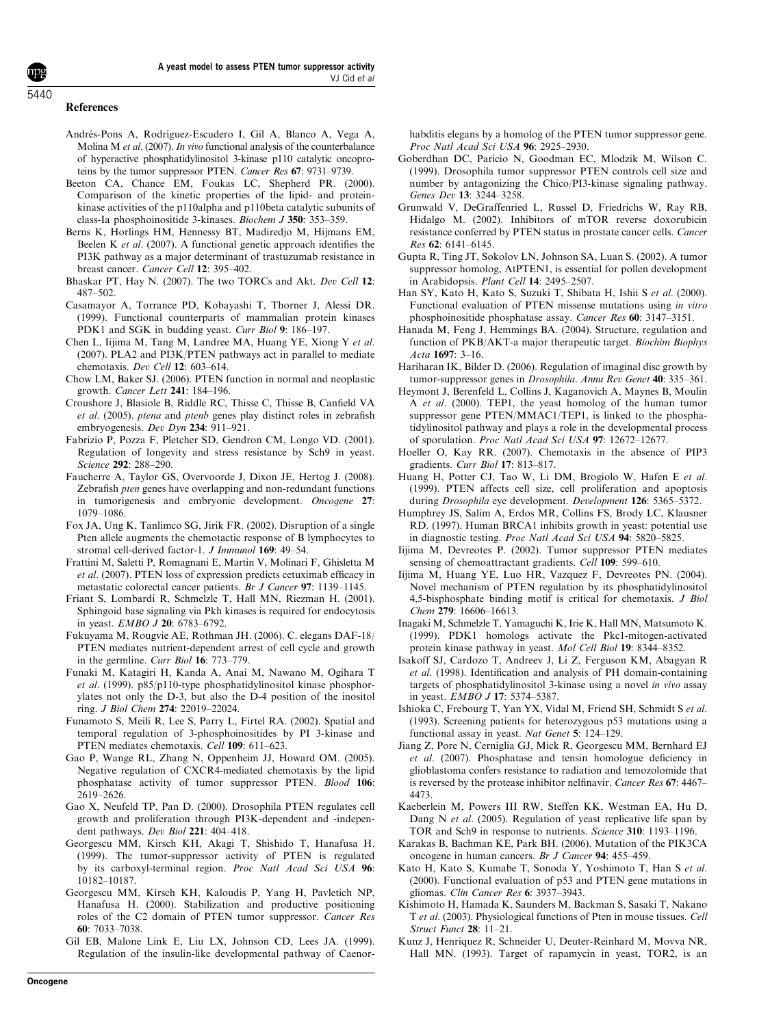## <span id="page-9-0"></span>5440

#### References

- Andrés-Pons A, Rodríguez-Escudero I, Gil A, Blanco A, Vega A, Molina M et al. (2007). In vivo functional analysis of the counterbalance of hyperactive phosphatidylinositol 3-kinase p110 catalytic oncoproteins by the tumor suppressor PTEN. Cancer Res 67: 9731–9739.
- Beeton CA, Chance EM, Foukas LC, Shepherd PR. (2000). Comparison of the kinetic properties of the lipid- and proteinkinase activities of the p110alpha and p110beta catalytic subunits of class-Ia phosphoinositide 3-kinases. Biochem J 350: 353–359.
- Berns K, Horlings HM, Hennessy BT, Madiredjo M, Hijmans EM, Beelen K et al. (2007). A functional genetic approach identifies the PI3K pathway as a major determinant of trastuzumab resistance in breast cancer. Cancer Cell 12: 395–402.
- Bhaskar PT, Hay N. (2007). The two TORCs and Akt. Dev Cell 12: 487–502.
- Casamayor A, Torrance PD, Kobayashi T, Thorner J, Alessi DR. (1999). Functional counterparts of mammalian protein kinases PDK1 and SGK in budding yeast. Curr Biol 9: 186–197.
- Chen L, Iijima M, Tang M, Landree MA, Huang YE, Xiong Y et al. (2007). PLA2 and PI3K/PTEN pathways act in parallel to mediate chemotaxis. Dev Cell 12: 603–614.
- Chow LM, Baker SJ. (2006). PTEN function in normal and neoplastic growth. Cancer Lett 241: 184–196.
- Croushore J, Blasiole B, Riddle RC, Thisse C, Thisse B, Canfield VA et al. (2005). ptena and ptenb genes play distinct roles in zebrafish embryogenesis. Dev Dyn 234: 911–921.
- Fabrizio P, Pozza F, Pletcher SD, Gendron CM, Longo VD. (2001). Regulation of longevity and stress resistance by Sch9 in yeast. Science 292: 288–290.
- Faucherre A, Taylor GS, Overvoorde J, Dixon JE, Hertog J. (2008). Zebrafish pten genes have overlapping and non-redundant functions in tumorigenesis and embryonic development. Oncogene 27: 1079–1086.
- Fox JA, Ung K, Tanlimco SG, Jirik FR. (2002). Disruption of a single Pten allele augments the chemotactic response of B lymphocytes to stromal cell-derived factor-1. J Immunol 169: 49–54.
- Frattini M, Saletti P, Romagnani E, Martin V, Molinari F, Ghisletta M et al. (2007). PTEN loss of expression predicts cetuximab efficacy in metastatic colorectal cancer patients. Br J Cancer 97: 1139–1145.
- Friant S, Lombardi R, Schmelzle T, Hall MN, Riezman H. (2001). Sphingoid base signaling via Pkh kinases is required for endocytosis in yeast. EMBO J 20: 6783–6792.
- Fukuyama M, Rougvie AE, Rothman JH. (2006). C. elegans DAF-18/ PTEN mediates nutrient-dependent arrest of cell cycle and growth in the germline. Curr Biol 16: 773–779.
- Funaki M, Katagiri H, Kanda A, Anai M, Nawano M, Ogihara T et al. (1999). p85/p110-type phosphatidylinositol kinase phosphorylates not only the D-3, but also the D-4 position of the inositol ring. J Biol Chem 274: 22019–22024.
- Funamoto S, Meili R, Lee S, Parry L, Firtel RA. (2002). Spatial and temporal regulation of 3-phosphoinositides by PI 3-kinase and PTEN mediates chemotaxis. Cell 109: 611–623.
- Gao P, Wange RL, Zhang N, Oppenheim JJ, Howard OM. (2005). Negative regulation of CXCR4-mediated chemotaxis by the lipid phosphatase activity of tumor suppressor PTEN. Blood 106: 2619–2626.
- Gao X, Neufeld TP, Pan D. (2000). Drosophila PTEN regulates cell growth and proliferation through PI3K-dependent and -independent pathways. Dev Biol 221: 404–418.
- Georgescu MM, Kirsch KH, Akagi T, Shishido T, Hanafusa H. (1999). The tumor-suppressor activity of PTEN is regulated by its carboxyl-terminal region. Proc Natl Acad Sci USA 96: 10182–10187.
- Georgescu MM, Kirsch KH, Kaloudis P, Yang H, Pavletich NP, Hanafusa H. (2000). Stabilization and productive positioning roles of the C2 domain of PTEN tumor suppressor. Cancer Res 60: 7033–7038.
- Gil EB, Malone Link E, Liu LX, Johnson CD, Lees JA. (1999). Regulation of the insulin-like developmental pathway of Caenor-

habditis elegans by a homolog of the PTEN tumor suppressor gene. Proc Natl Acad Sci USA 96: 2925–2930.

- Goberdhan DC, Paricio N, Goodman EC, Mlodzik M, Wilson C. (1999). Drosophila tumor suppressor PTEN controls cell size and number by antagonizing the Chico/PI3-kinase signaling pathway. Genes Dev 13: 3244–3258.
- Grunwald V, DeGraffenried L, Russel D, Friedrichs W, Ray RB, Hidalgo M. (2002). Inhibitors of mTOR reverse doxorubicin resistance conferred by PTEN status in prostate cancer cells. Cancer  $Res 62: 6141 - 6145$
- Gupta R, Ting JT, Sokolov LN, Johnson SA, Luan S. (2002). A tumor suppressor homolog, AtPTEN1, is essential for pollen development in Arabidopsis. Plant Cell 14: 2495–2507.
- Han SY, Kato H, Kato S, Suzuki T, Shibata H, Ishii S et al. (2000). Functional evaluation of PTEN missense mutations using in vitro phosphoinositide phosphatase assay. Cancer Res 60: 3147–3151.
- Hanada M, Feng J, Hemmings BA. (2004). Structure, regulation and function of PKB/AKT-a major therapeutic target. Biochim Biophys Acta  $1697 \cdot 3 - 16$ .
- Hariharan IK, Bilder D. (2006). Regulation of imaginal disc growth by tumor-suppressor genes in Drosophila. Annu Rev Genet 40: 335–361.
- Heymont J, Berenfeld L, Collins J, Kaganovich A, Maynes B, Moulin A et al. (2000). TEP1, the yeast homolog of the human tumor suppressor gene PTEN/MMAC1/TEP1, is linked to the phosphatidylinositol pathway and plays a role in the developmental process of sporulation. Proc Natl Acad Sci USA 97: 12672–12677.
- Hoeller O, Kay RR. (2007). Chemotaxis in the absence of PIP3 gradients. Curr Biol 17: 813–817.
- Huang H, Potter CJ, Tao W, Li DM, Brogiolo W, Hafen E et al. (1999). PTEN affects cell size, cell proliferation and apoptosis during Drosophila eye development. Development 126: 5365-5372.
- Humphrey JS, Salim A, Erdos MR, Collins FS, Brody LC, Klausner RD. (1997). Human BRCA1 inhibits growth in yeast: potential use in diagnostic testing. Proc Natl Acad Sci USA 94: 5820–5825.
- Iijima M, Devreotes P. (2002). Tumor suppressor PTEN mediates sensing of chemoattractant gradients. Cell 109: 599–610.
- Iijima M, Huang YE, Luo HR, Vazquez F, Devreotes PN. (2004). Novel mechanism of PTEN regulation by its phosphatidylinositol 4,5-bisphosphate binding motif is critical for chemotaxis. J Biol Chem 279: 16606–16613.
- Inagaki M, Schmelzle T, Yamaguchi K, Irie K, Hall MN, Matsumoto K. (1999). PDK1 homologs activate the Pkc1-mitogen-activated protein kinase pathway in yeast. Mol Cell Biol 19: 8344-8352.
- Isakoff SJ, Cardozo T, Andreev J, Li Z, Ferguson KM, Abagyan R  $et$  al. (1998). Identification and analysis of PH domain-containing targets of phosphatidylinositol 3-kinase using a novel in vivo assay in yeast. EMBO J 17: 5374–5387.
- Ishioka C, Frebourg T, Yan YX, Vidal M, Friend SH, Schmidt S et al. (1993). Screening patients for heterozygous p53 mutations using a functional assay in yeast. Nat Genet 5: 124-129.
- Jiang Z, Pore N, Cerniglia GJ, Mick R, Georgescu MM, Bernhard EJ et al. (2007). Phosphatase and tensin homologue deficiency in glioblastoma confers resistance to radiation and temozolomide that is reversed by the protease inhibitor nelfinavir. Cancer Res 67: 4467– 4473.
- Kaeberlein M, Powers III RW, Steffen KK, Westman EA, Hu D, Dang N et al. (2005). Regulation of yeast replicative life span by TOR and Sch9 in response to nutrients. Science 310: 1193–1196.
- Karakas B, Bachman KE, Park BH. (2006). Mutation of the PIK3CA oncogene in human cancers. Br J Cancer 94: 455–459.
- Kato H, Kato S, Kumabe T, Sonoda Y, Yoshimoto T, Han S et al. (2000). Functional evaluation of p53 and PTEN gene mutations in gliomas. Clin Cancer Res 6: 3937–3943.
- Kishimoto H, Hamada K, Saunders M, Backman S, Sasaki T, Nakano T et al. (2003). Physiological functions of Pten in mouse tissues. Cell Struct Funct 28: 11–21.
- Kunz J, Henriquez R, Schneider U, Deuter-Reinhard M, Movva NR, Hall MN. (1993). Target of rapamycin in yeast, TOR2, is an

**Oncogene**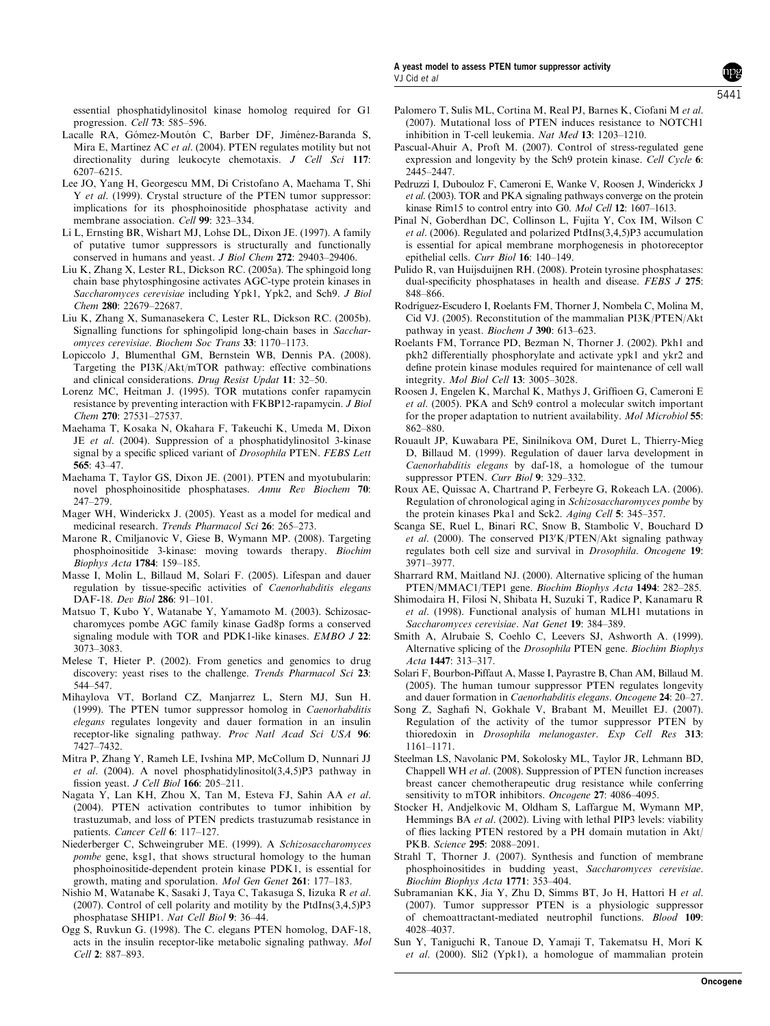<span id="page-10-0"></span>essential phosphatidylinositol kinase homolog required for G1 progression. Cell 73: 585–596.

- Lacalle RA, Gómez-Moutón C, Barber DF, Jiménez-Baranda S, Mira E, Martínez AC et al. (2004). PTEN regulates motility but not directionality during leukocyte chemotaxis. J Cell Sci 117: 6207–6215.
- Lee JO, Yang H, Georgescu MM, Di Cristofano A, Maehama T, Shi Y *et al.* (1999). Crystal structure of the PTEN tumor suppressor: implications for its phosphoinositide phosphatase activity and membrane association. Cell 99: 323–334.
- Li L, Ernsting BR, Wishart MJ, Lohse DL, Dixon JE. (1997). A family of putative tumor suppressors is structurally and functionally conserved in humans and yeast. J Biol Chem 272: 29403–29406.
- Liu K, Zhang X, Lester RL, Dickson RC. (2005a). The sphingoid long chain base phytosphingosine activates AGC-type protein kinases in Saccharomyces cerevisiae including Ypk1, Ypk2, and Sch9. J Biol Chem 280: 22679–22687.
- Liu K, Zhang X, Sumanasekera C, Lester RL, Dickson RC. (2005b). Signalling functions for sphingolipid long-chain bases in Saccharomyces cerevisiae. Biochem Soc Trans 33: 1170–1173.
- Lopiccolo J, Blumenthal GM, Bernstein WB, Dennis PA. (2008). Targeting the PI3K/Akt/mTOR pathway: effective combinations and clinical considerations. Drug Resist Updat 11: 32–50.
- Lorenz MC, Heitman J. (1995). TOR mutations confer rapamycin resistance by preventing interaction with FKBP12-rapamycin. J Biol Chem 270: 27531–27537.
- Maehama T, Kosaka N, Okahara F, Takeuchi K, Umeda M, Dixon JE et al. (2004). Suppression of a phosphatidylinositol 3-kinase signal by a specific spliced variant of *Drosophila* PTEN. FEBS Lett 565: 43–47.
- Maehama T, Taylor GS, Dixon JE. (2001). PTEN and myotubularin: novel phosphoinositide phosphatases. Annu Rev Biochem 70: 247–279.
- Mager WH, Winderickx J. (2005). Yeast as a model for medical and medicinal research. Trends Pharmacol Sci 26: 265–273.
- Marone R, Cmiljanovic V, Giese B, Wymann MP. (2008). Targeting phosphoinositide 3-kinase: moving towards therapy. Biochim Biophys Acta 1784: 159–185.
- Masse I, Molin L, Billaud M, Solari F. (2005). Lifespan and dauer regulation by tissue-specific activities of Caenorhabditis elegans DAF-18. Dev Biol 286: 91–101.
- Matsuo T, Kubo Y, Watanabe Y, Yamamoto M. (2003). Schizosaccharomyces pombe AGC family kinase Gad8p forms a conserved signaling module with TOR and PDK1-like kinases. EMBO J 22: 3073–3083.
- Melese T, Hieter P. (2002). From genetics and genomics to drug discovery: yeast rises to the challenge. Trends Pharmacol Sci 23: 544–547.
- Mihaylova VT, Borland CZ, Manjarrez L, Stern MJ, Sun H. (1999). The PTEN tumor suppressor homolog in Caenorhabditis elegans regulates longevity and dauer formation in an insulin receptor-like signaling pathway. Proc Natl Acad Sci USA 96: 7427–7432.
- Mitra P, Zhang Y, Rameh LE, Ivshina MP, McCollum D, Nunnari JJ et al. (2004). A novel phosphatidylinositol(3,4,5)P3 pathway in fission yeast. J Cell Biol 166: 205–211.
- Nagata Y, Lan KH, Zhou X, Tan M, Esteva FJ, Sahin AA et al. (2004). PTEN activation contributes to tumor inhibition by trastuzumab, and loss of PTEN predicts trastuzumab resistance in patients. Cancer Cell 6: 117–127.
- Niederberger C, Schweingruber ME. (1999). A Schizosaccharomyces pombe gene, ksg1, that shows structural homology to the human phosphoinositide-dependent protein kinase PDK1, is essential for growth, mating and sporulation. Mol Gen Genet 261: 177-183.
- Nishio M, Watanabe K, Sasaki J, Taya C, Takasuga S, Iizuka R et al. (2007). Control of cell polarity and motility by the PtdIns(3,4,5)P3 phosphatase SHIP1. Nat Cell Biol 9: 36–44.
- Ogg S, Ruvkun G. (1998). The C. elegans PTEN homolog, DAF-18, acts in the insulin receptor-like metabolic signaling pathway. Mol Cell 2: 887–893.
- Palomero T, Sulis ML, Cortina M, Real PJ, Barnes K, Ciofani M et al. (2007). Mutational loss of PTEN induces resistance to NOTCH1 inhibition in T-cell leukemia. Nat Med 13: 1203–1210.
- Pascual-Ahuir A, Proft M. (2007). Control of stress-regulated gene expression and longevity by the Sch9 protein kinase. Cell Cycle 6: 2445–2447.
- Pedruzzi I, Dubouloz F, Cameroni E, Wanke V, Roosen J, Winderickx J et al. (2003). TOR and PKA signaling pathways converge on the protein kinase Rim15 to control entry into G0. Mol Cell 12: 1607–1613.
- Pinal N, Goberdhan DC, Collinson L, Fujita Y, Cox IM, Wilson C et al. (2006). Regulated and polarized PtdIns(3,4,5)P3 accumulation is essential for apical membrane morphogenesis in photoreceptor epithelial cells. Curr Biol 16: 140–149.
- Pulido R, van Huijsduijnen RH. (2008). Protein tyrosine phosphatases: dual-specificity phosphatases in health and disease. FEBS J 275: 848–866.
- Rodríguez-Escudero I, Roelants FM, Thorner J, Nombela C, Molina M, Cid VJ. (2005). Reconstitution of the mammalian PI3K/PTEN/Akt pathway in yeast. Biochem J 390: 613–623.
- Roelants FM, Torrance PD, Bezman N, Thorner J. (2002). Pkh1 and pkh2 differentially phosphorylate and activate ypk1 and ykr2 and define protein kinase modules required for maintenance of cell wall integrity. Mol Biol Cell 13: 3005–3028.
- Roosen J, Engelen K, Marchal K, Mathys J, Griffioen G, Cameroni E et al. (2005). PKA and Sch9 control a molecular switch important for the proper adaptation to nutrient availability. Mol Microbiol 55: 862–880.
- Rouault JP, Kuwabara PE, Sinilnikova OM, Duret L, Thierry-Mieg D, Billaud M. (1999). Regulation of dauer larva development in Caenorhabditis elegans by daf-18, a homologue of the tumour suppressor PTEN. Curr Biol 9: 329-332.
- Roux AE, Quissac A, Chartrand P, Ferbeyre G, Rokeach LA. (2006). Regulation of chronological aging in Schizosaccharomyces pombe by the protein kinases Pka1 and Sck2. Aging Cell 5: 345–357.
- Scanga SE, Ruel L, Binari RC, Snow B, Stambolic V, Bouchard D et al. (2000). The conserved  $PI3'K/PTEN/Akt$  signaling pathway regulates both cell size and survival in Drosophila. Oncogene 19: 3971–3977.
- Sharrard RM, Maitland NJ. (2000). Alternative splicing of the human PTEN/MMAC1/TEP1 gene. Biochim Biophys Acta 1494: 282–285.
- Shimodaira H, Filosi N, Shibata H, Suzuki T, Radice P, Kanamaru R et al. (1998). Functional analysis of human MLH1 mutations in Saccharomyces cerevisiae. Nat Genet 19: 384–389.
- Smith A, Alrubaie S, Coehlo C, Leevers SJ, Ashworth A. (1999). Alternative splicing of the Drosophila PTEN gene. Biochim Biophys Acta 1447: 313–317.
- Solari F, Bourbon-Piffaut A, Masse I, Payrastre B, Chan AM, Billaud M. (2005). The human tumour suppressor PTEN regulates longevity and dauer formation in Caenorhabditis elegans. Oncogene 24: 20–27.
- Song Z, Saghafi N, Gokhale V, Brabant M, Meuillet EJ. (2007). Regulation of the activity of the tumor suppressor PTEN by thioredoxin in Drosophila melanogaster. Exp Cell Res 313: 1161–1171.
- Steelman LS, Navolanic PM, Sokolosky ML, Taylor JR, Lehmann BD, Chappell WH et al. (2008). Suppression of PTEN function increases breast cancer chemotherapeutic drug resistance while conferring sensitivity to mTOR inhibitors. Oncogene 27: 4086-4095.
- Stocker H, Andjelkovic M, Oldham S, Laffargue M, Wymann MP, Hemmings BA et al. (2002). Living with lethal PIP3 levels: viability of flies lacking PTEN restored by a PH domain mutation in Akt/ PKB. Science 295: 2088–2091.
- Strahl T, Thorner J. (2007). Synthesis and function of membrane phosphoinositides in budding yeast, Saccharomyces cerevisiae. Biochim Biophys Acta 1771: 353–404.
- Subramanian KK, Jia Y, Zhu D, Simms BT, Jo H, Hattori H et al. (2007). Tumor suppressor PTEN is a physiologic suppressor of chemoattractant-mediated neutrophil functions. Blood 109: 4028–4037.
- Sun Y, Taniguchi R, Tanoue D, Yamaji T, Takematsu H, Mori K et al. (2000). Sli2 (Ypk1), a homologue of mammalian protein

5441